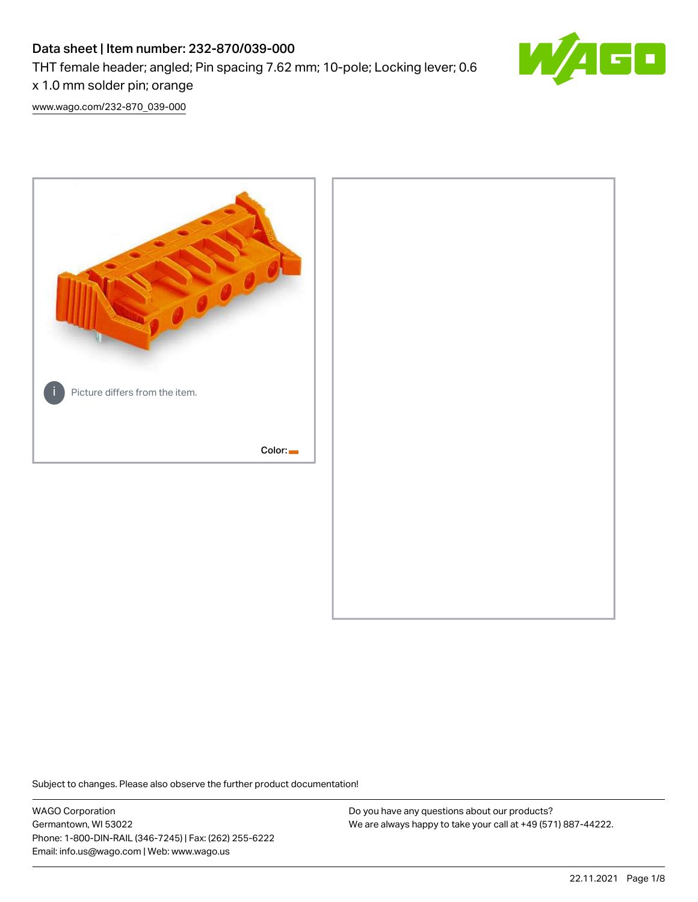# Data sheet | Item number: 232-870/039-000 THT female header; angled; Pin spacing 7.62 mm; 10-pole; Locking lever; 0.6



x 1.0 mm solder pin; orange [www.wago.com/232-870\\_039-000](http://www.wago.com/232-870_039-000)



Subject to changes. Please also observe the further product documentation!

WAGO Corporation Germantown, WI 53022 Phone: 1-800-DIN-RAIL (346-7245) | Fax: (262) 255-6222 Email: info.us@wago.com | Web: www.wago.us

Do you have any questions about our products? We are always happy to take your call at +49 (571) 887-44222.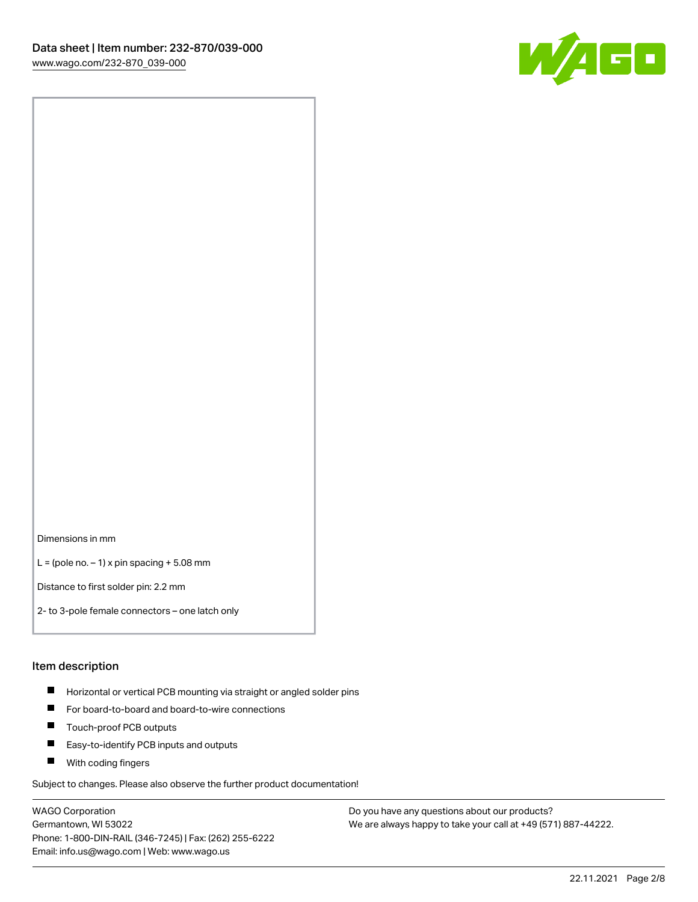

Dimensions in mm

 $L =$  (pole no.  $-1$ ) x pin spacing  $+5.08$  mm

Distance to first solder pin: 2.2 mm

2- to 3-pole female connectors – one latch only

#### Item description

- **Horizontal or vertical PCB mounting via straight or angled solder pins**
- For board-to-board and board-to-wire connections
- $\blacksquare$ Touch-proof PCB outputs
- $\blacksquare$ Easy-to-identify PCB inputs and outputs
- **Now With coding fingers**

Subject to changes. Please also observe the further product documentation!

WAGO Corporation Germantown, WI 53022 Phone: 1-800-DIN-RAIL (346-7245) | Fax: (262) 255-6222 Email: info.us@wago.com | Web: www.wago.us

Do you have any questions about our products? We are always happy to take your call at +49 (571) 887-44222.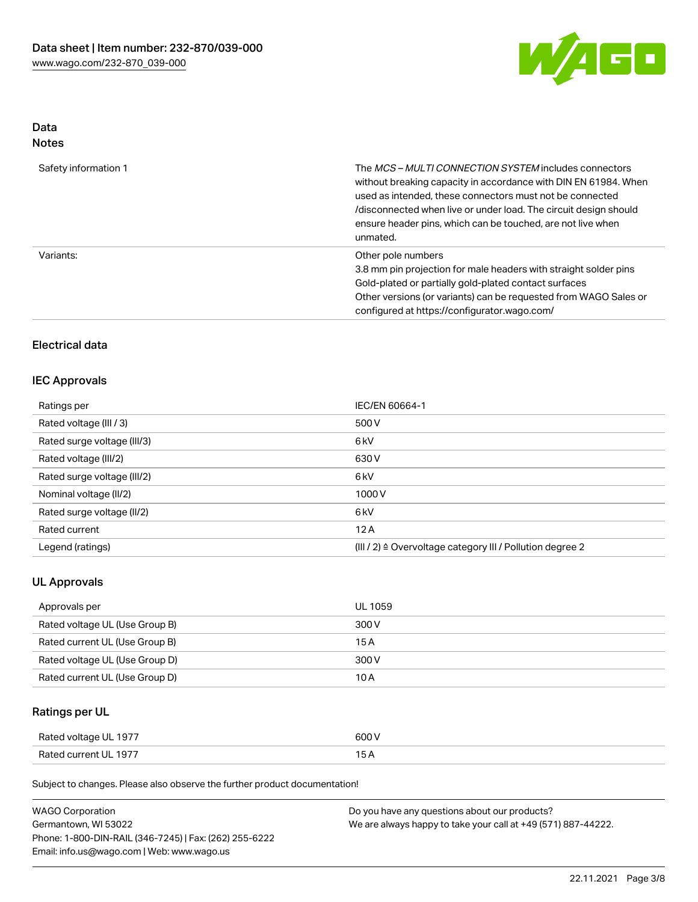

# Data

| Safety information 1 | The <i>MCS – MULTI CONNECTION SYSTEM</i> includes connectors<br>without breaking capacity in accordance with DIN EN 61984. When<br>used as intended, these connectors must not be connected<br>/disconnected when live or under load. The circuit design should<br>ensure header pins, which can be touched, are not live when<br>unmated. |
|----------------------|--------------------------------------------------------------------------------------------------------------------------------------------------------------------------------------------------------------------------------------------------------------------------------------------------------------------------------------------|
| Variants:            | Other pole numbers<br>3.8 mm pin projection for male headers with straight solder pins<br>Gold-plated or partially gold-plated contact surfaces<br>Other versions (or variants) can be requested from WAGO Sales or<br>configured at https://configurator.wago.com/                                                                        |

# Electrical data

## IEC Approvals

| Ratings per                 | IEC/EN 60664-1                                                       |
|-----------------------------|----------------------------------------------------------------------|
| Rated voltage (III / 3)     | 500 V                                                                |
| Rated surge voltage (III/3) | 6 <sub>k</sub> V                                                     |
| Rated voltage (III/2)       | 630 V                                                                |
| Rated surge voltage (III/2) | 6 <sub>k</sub> V                                                     |
| Nominal voltage (II/2)      | 1000V                                                                |
| Rated surge voltage (II/2)  | 6 <sub>k</sub> V                                                     |
| Rated current               | 12A                                                                  |
| Legend (ratings)            | (III / 2) $\triangleq$ Overvoltage category III / Pollution degree 2 |

## UL Approvals

| Approvals per                  | UL 1059 |
|--------------------------------|---------|
| Rated voltage UL (Use Group B) | 300 V   |
| Rated current UL (Use Group B) | 15 A    |
| Rated voltage UL (Use Group D) | 300 V   |
| Rated current UL (Use Group D) | 10 A    |

# Ratings per UL

| Rated voltage UL 1977 | 600 V |
|-----------------------|-------|
| Rated current UL 1977 |       |

Subject to changes. Please also observe the further product documentation!

| <b>WAGO Corporation</b>                                | Do you have any questions about our products?                 |
|--------------------------------------------------------|---------------------------------------------------------------|
| Germantown, WI 53022                                   | We are always happy to take your call at +49 (571) 887-44222. |
| Phone: 1-800-DIN-RAIL (346-7245)   Fax: (262) 255-6222 |                                                               |
| Email: info.us@wago.com   Web: www.wago.us             |                                                               |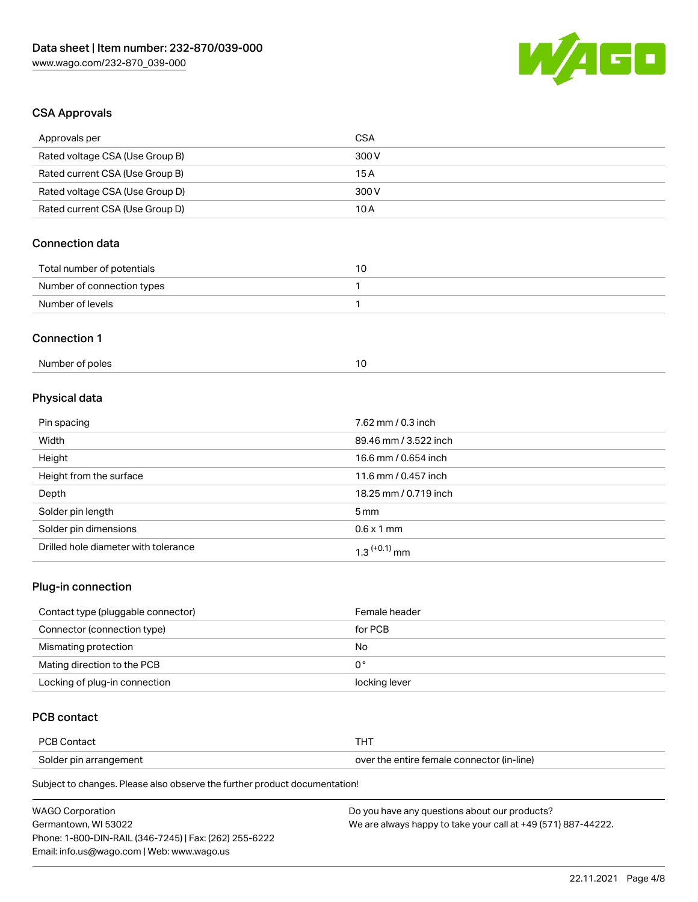

# CSA Approvals

| Approvals per                        | <b>CSA</b>            |  |
|--------------------------------------|-----------------------|--|
| Rated voltage CSA (Use Group B)      | 300V                  |  |
| Rated current CSA (Use Group B)      | 15A                   |  |
| Rated voltage CSA (Use Group D)      | 300V                  |  |
| Rated current CSA (Use Group D)      | 10A                   |  |
| <b>Connection data</b>               |                       |  |
| Total number of potentials           | 10                    |  |
| Number of connection types           | 1                     |  |
| Number of levels                     | 1                     |  |
| <b>Connection 1</b>                  |                       |  |
| Number of poles                      | 10                    |  |
| Physical data                        |                       |  |
| Pin spacing                          | 7.62 mm / 0.3 inch    |  |
| Width                                | 89.46 mm / 3.522 inch |  |
| Height                               | 16.6 mm / 0.654 inch  |  |
| Height from the surface              | 11.6 mm / 0.457 inch  |  |
| Depth                                | 18.25 mm / 0.719 inch |  |
| Solder pin length                    | 5 <sub>mm</sub>       |  |
| Solder pin dimensions                | $0.6 \times 1$ mm     |  |
| Drilled hole diameter with tolerance | $1.3$ $(+0.1)$ mm     |  |

## Plug-in connection

| Contact type (pluggable connector) | Female header |
|------------------------------------|---------------|
| Connector (connection type)        | for PCB       |
| Mismating protection               | No            |
| Mating direction to the PCB        | 0°            |
| Locking of plug-in connection      | locking lever |

# PCB contact

| <b>PCB Contact</b><br>тнт |                                            |
|---------------------------|--------------------------------------------|
| Solder pin arrangement    | over the entire female connector (in-line) |

Subject to changes. Please also observe the further product documentation!

| <b>WAGO Corporation</b>                                | Do you have any questions about our products?                 |
|--------------------------------------------------------|---------------------------------------------------------------|
| Germantown. WI 53022                                   | We are always happy to take your call at +49 (571) 887-44222. |
| Phone: 1-800-DIN-RAIL (346-7245)   Fax: (262) 255-6222 |                                                               |
| Email: info.us@wago.com   Web: www.wago.us             |                                                               |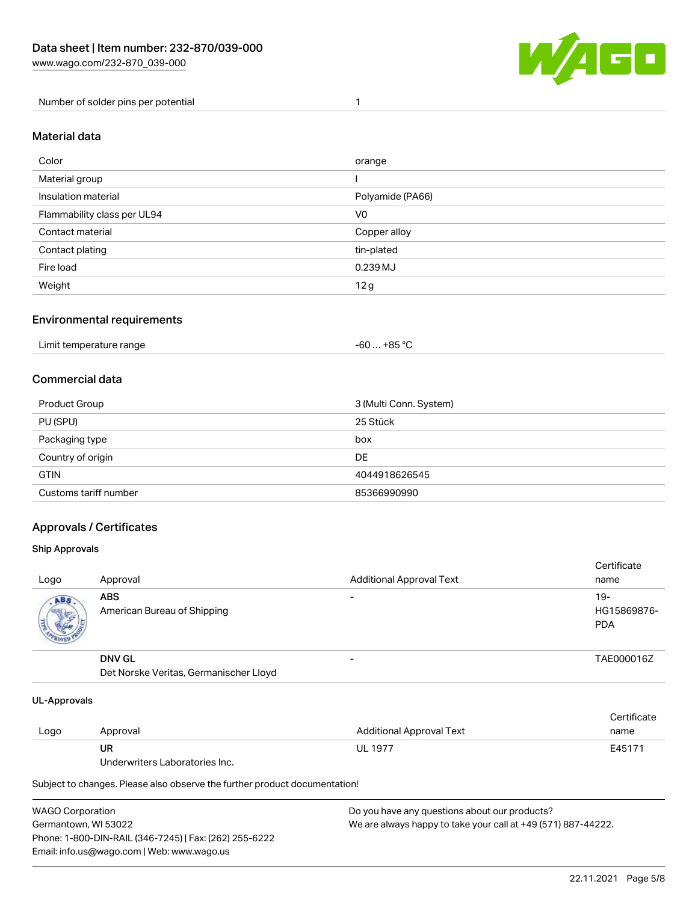

Number of solder pins per potential 1

#### Material data

| Color                       | orange           |
|-----------------------------|------------------|
| Material group              |                  |
| Insulation material         | Polyamide (PA66) |
| Flammability class per UL94 | V <sub>0</sub>   |
| Contact material            | Copper alloy     |
| Contact plating             | tin-plated       |
| Fire load                   | 0.239 MJ         |
| Weight                      | 12g              |

#### Environmental requirements

| Limit temperature range<br>. | . +85 °C<br>-60 |  |
|------------------------------|-----------------|--|
|------------------------------|-----------------|--|

# Commercial data

| Product Group         | 3 (Multi Conn. System) |
|-----------------------|------------------------|
| PU (SPU)              | 25 Stück               |
| Packaging type        | box                    |
| Country of origin     | DE                     |
| <b>GTIN</b>           | 4044918626545          |
| Customs tariff number | 85366990990            |

## Approvals / Certificates

#### Ship Approvals

| Logo | Approval                                                | <b>Additional Approval Text</b> | Certificate<br>name                |
|------|---------------------------------------------------------|---------------------------------|------------------------------------|
| ABS  | <b>ABS</b><br>American Bureau of Shipping               | -                               | $19-$<br>HG15869876-<br><b>PDA</b> |
|      | <b>DNV GL</b><br>Det Norske Veritas, Germanischer Lloyd | $\overline{\phantom{0}}$        | TAE000016Z                         |

#### UL-Approvals

| Logo | Approval                       | Additional Approval Text | Certificate<br>name |
|------|--------------------------------|--------------------------|---------------------|
|      | UR                             | <b>UL 1977</b>           | E45171              |
|      | Underwriters Laboratories Inc. |                          |                     |

Subject to changes. Please also observe the further product documentation!

| <b>WAGO Corporation</b>                                | Do you have any questions about our products?                 |
|--------------------------------------------------------|---------------------------------------------------------------|
| Germantown, WI 53022                                   | We are always happy to take your call at +49 (571) 887-44222. |
| Phone: 1-800-DIN-RAIL (346-7245)   Fax: (262) 255-6222 |                                                               |
| Email: info.us@wago.com   Web: www.wago.us             |                                                               |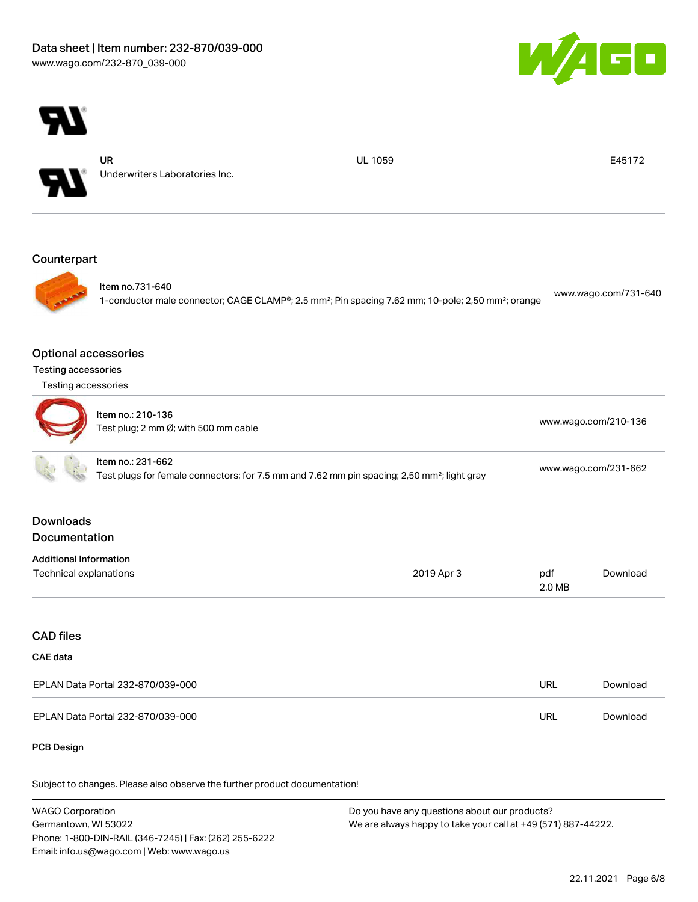



UR

Underwriters Laboratories Inc.

UL 1059 E45172

## **Counterpart**



Item no.731-640

1-conductor male connector; CAGE CLAMP®; 2.5 mm²; Pin spacing 7.62 mm; 10-pole; 2,50 mm²; orange [www.wago.com/731-640](https://www.wago.com/731-640)

#### Optional accessories

| <b>Testing accessories</b> |  |
|----------------------------|--|
|                            |  |

| Testing accessories |  |  |
|---------------------|--|--|
|---------------------|--|--|

| Item no.: 210-136<br>Test plug; 2 mm Ø; with 500 mm cable | www.wago.com/210-136 |
|-----------------------------------------------------------|----------------------|
|                                                           |                      |
|                                                           |                      |

|  | Item no.: 231-662                                                                                       |                      |
|--|---------------------------------------------------------------------------------------------------------|----------------------|
|  | Test plugs for female connectors; for 7.5 mm and 7.62 mm pin spacing; 2,50 mm <sup>2</sup> ; light gray | www.wago.com/231-662 |
|  |                                                                                                         |                      |

# Downloads Documentation

| <b>Additional Information</b> |            |        |          |
|-------------------------------|------------|--------|----------|
| Technical explanations        | 2019 Apr 3 | pdf    | Download |
|                               |            | 2.0 MB |          |

# CAD files

## CAE data

| EPLAN Data Portal 232-870/039-000 | URL | Download |
|-----------------------------------|-----|----------|
| EPLAN Data Portal 232-870/039-000 | URL | Download |

#### PCB Design

Subject to changes. Please also observe the further product documentation!

WAGO Corporation Germantown, WI 53022 Phone: 1-800-DIN-RAIL (346-7245) | Fax: (262) 255-6222 Email: info.us@wago.com | Web: www.wago.us Do you have any questions about our products? We are always happy to take your call at +49 (571) 887-44222.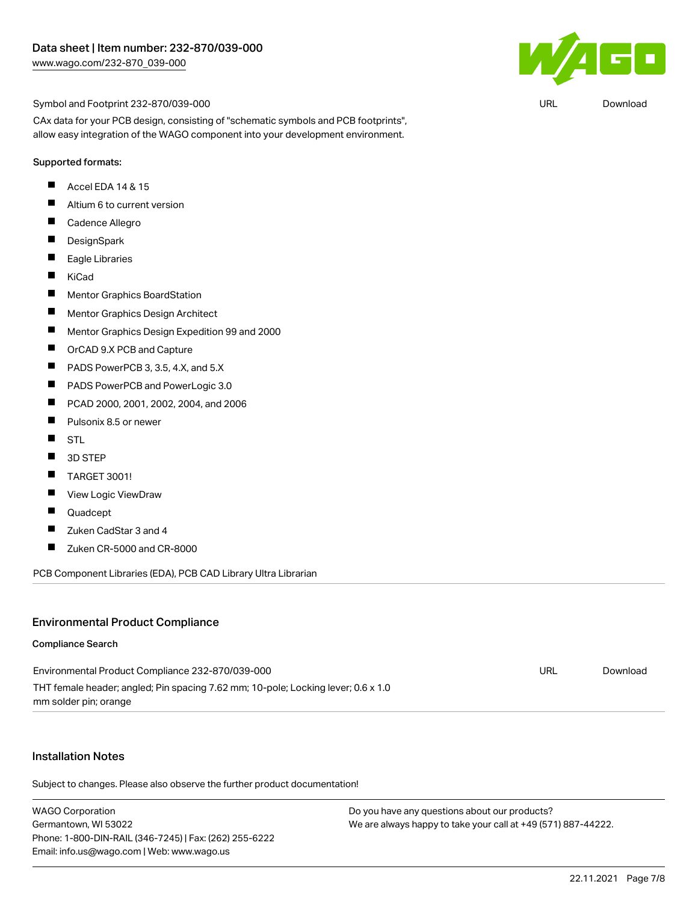

Symbol and Footprint 232-870/039-000

CAx data for your PCB design, consisting of "schematic symbols and PCB footprints", allow easy integration of the WAGO component into your development environment.

#### Supported formats:

- П Accel EDA 14 & 15
- $\blacksquare$ Altium 6 to current version
- $\blacksquare$ Cadence Allegro
- $\blacksquare$ **DesignSpark**
- $\blacksquare$ Eagle Libraries
- $\blacksquare$ KiCad
- $\blacksquare$ Mentor Graphics BoardStation
- $\blacksquare$ Mentor Graphics Design Architect
- $\blacksquare$ Mentor Graphics Design Expedition 99 and 2000
- $\blacksquare$ OrCAD 9.X PCB and Capture
- П PADS PowerPCB 3, 3.5, 4.X, and 5.X
- $\blacksquare$ PADS PowerPCB and PowerLogic 3.0
- $\blacksquare$ PCAD 2000, 2001, 2002, 2004, and 2006
- $\blacksquare$ Pulsonix 8.5 or newer
- $\blacksquare$ STL
- $\blacksquare$ 3D STEP
- $\blacksquare$ TARGET 3001!
- $\blacksquare$ View Logic ViewDraw
- П Quadcept
- $\blacksquare$ Zuken CadStar 3 and 4
- $\blacksquare$ Zuken CR-5000 and CR-8000

PCB Component Libraries (EDA), PCB CAD Library Ultra Librarian

#### Environmental Product Compliance

#### Compliance Search

| Environmental Product Compliance 232-870/039-000                                  | URL | Download |
|-----------------------------------------------------------------------------------|-----|----------|
| THT female header; angled; Pin spacing 7.62 mm; 10-pole; Locking lever; 0.6 x 1.0 |     |          |
| mm solder pin; orange                                                             |     |          |

#### Installation Notes

Subject to changes. Please also observe the further product documentation!

WAGO Corporation Germantown, WI 53022 Phone: 1-800-DIN-RAIL (346-7245) | Fax: (262) 255-6222 Email: info.us@wago.com | Web: www.wago.us

Do you have any questions about our products? We are always happy to take your call at +49 (571) 887-44222.

URL [Download](https://www.wago.com/global/d/UltraLibrarian_URLS_232-870_039-000)